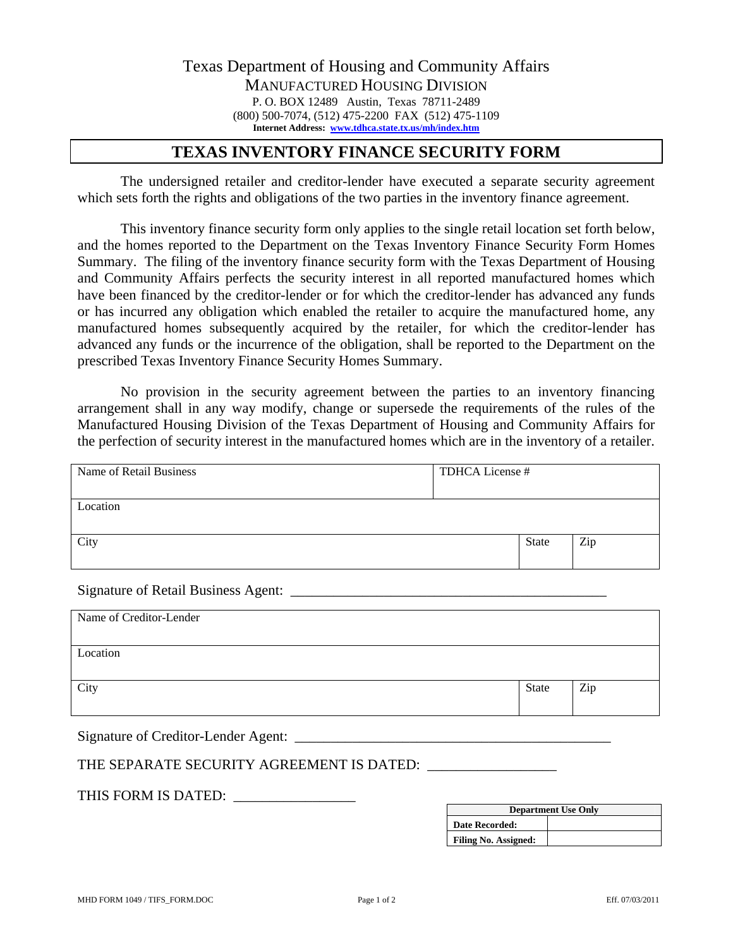## **TEXAS INVENTORY FINANCE SECURITY FORM**

 The undersigned retailer and creditor-lender have executed a separate security agreement which sets forth the rights and obligations of the two parties in the inventory finance agreement.

 This inventory finance security form only applies to the single retail location set forth below, and the homes reported to the Department on the Texas Inventory Finance Security Form Homes Summary. The filing of the inventory finance security form with the Texas Department of Housing and Community Affairs perfects the security interest in all reported manufactured homes which have been financed by the creditor-lender or for which the creditor-lender has advanced any funds or has incurred any obligation which enabled the retailer to acquire the manufactured home, any manufactured homes subsequently acquired by the retailer, for which the creditor-lender has advanced any funds or the incurrence of the obligation, shall be reported to the Department on the prescribed Texas Inventory Finance Security Homes Summary.

 No provision in the security agreement between the parties to an inventory financing arrangement shall in any way modify, change or supersede the requirements of the rules of the Manufactured Housing Division of the Texas Department of Housing and Community Affairs for the perfection of security interest in the manufactured homes which are in the inventory of a retailer.

| Name of Retail Business | TDHCA License # |       |     |
|-------------------------|-----------------|-------|-----|
| Location                |                 |       |     |
| City                    |                 | State | Zip |

Signature of Retail Business Agent: \_\_\_\_\_\_\_\_\_\_\_\_\_\_\_\_\_\_\_\_\_\_\_\_\_\_\_\_\_\_\_\_\_\_\_\_\_\_\_\_\_\_\_\_

| Name of Creditor-Lender |       |     |
|-------------------------|-------|-----|
| Location                |       |     |
| City                    | State | Zip |
|                         |       |     |

Signature of Creditor-Lender Agent: \_\_\_\_\_\_\_\_\_\_\_\_\_\_\_\_\_\_\_\_\_\_\_\_\_\_\_\_\_\_\_\_\_\_\_\_\_\_\_\_\_\_\_\_

## THE SEPARATE SECURITY AGREEMENT IS DATED:

THIS FORM IS DATED: \_\_\_\_\_\_\_\_\_\_\_\_\_\_\_\_\_

| <b>Department Use Only</b>  |  |  |
|-----------------------------|--|--|
| <b>Date Recorded:</b>       |  |  |
| <b>Filing No. Assigned:</b> |  |  |